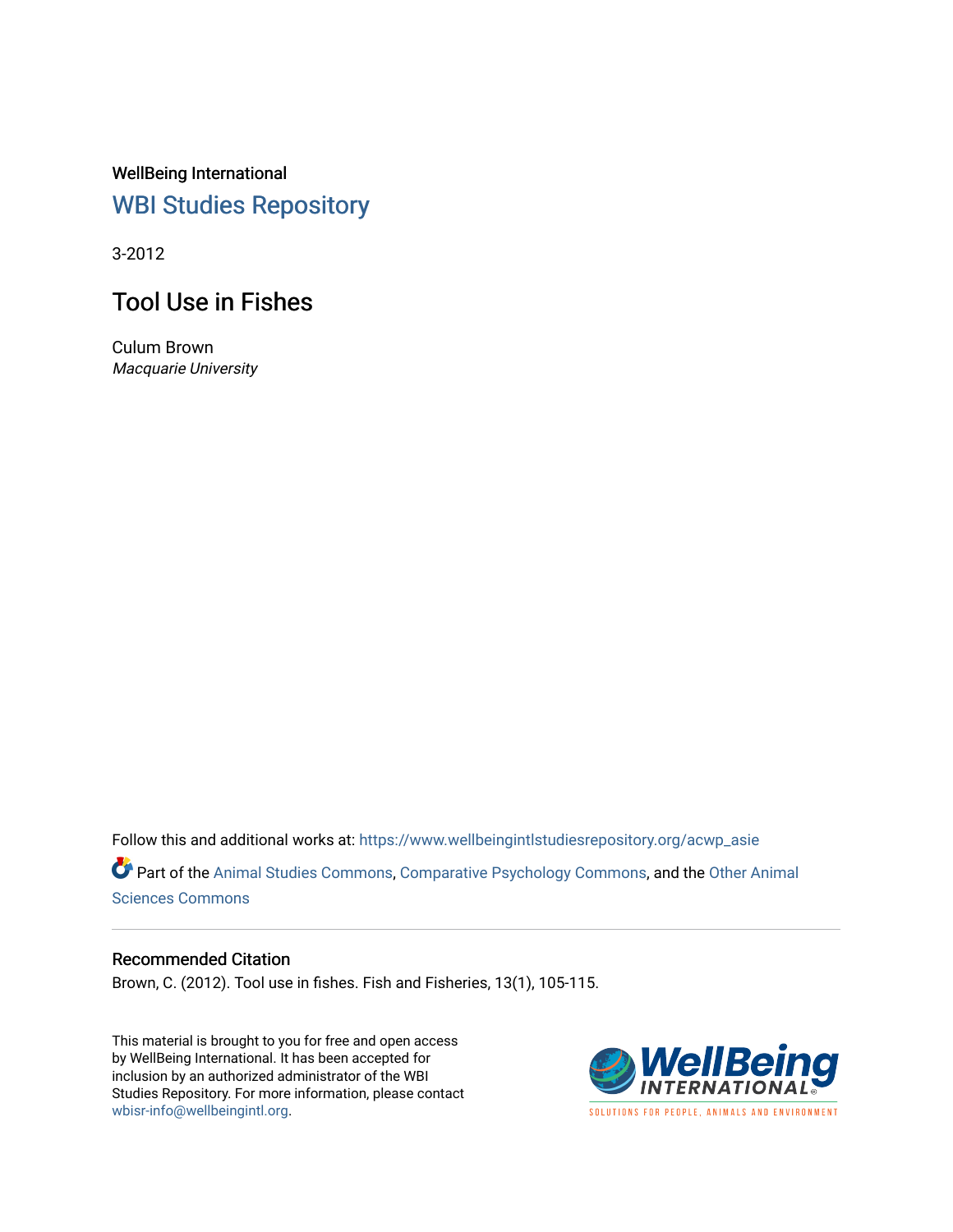WellBeing International [WBI Studies Repository](https://www.wellbeingintlstudiesrepository.org/)

3-2012

## Tool Use in Fishes

Culum Brown Macquarie University

Follow this and additional works at: [https://www.wellbeingintlstudiesrepository.org/acwp\\_asie](https://www.wellbeingintlstudiesrepository.org/acwp_asie?utm_source=www.wellbeingintlstudiesrepository.org%2Facwp_asie%2F78&utm_medium=PDF&utm_campaign=PDFCoverPages) Part of the [Animal Studies Commons,](http://network.bepress.com/hgg/discipline/1306?utm_source=www.wellbeingintlstudiesrepository.org%2Facwp_asie%2F78&utm_medium=PDF&utm_campaign=PDFCoverPages) [Comparative Psychology Commons,](http://network.bepress.com/hgg/discipline/1387?utm_source=www.wellbeingintlstudiesrepository.org%2Facwp_asie%2F78&utm_medium=PDF&utm_campaign=PDFCoverPages) and the [Other Animal](http://network.bepress.com/hgg/discipline/82?utm_source=www.wellbeingintlstudiesrepository.org%2Facwp_asie%2F78&utm_medium=PDF&utm_campaign=PDFCoverPages)  [Sciences Commons](http://network.bepress.com/hgg/discipline/82?utm_source=www.wellbeingintlstudiesrepository.org%2Facwp_asie%2F78&utm_medium=PDF&utm_campaign=PDFCoverPages) 

### Recommended Citation

Brown, C. (2012). Tool use in fishes. Fish and Fisheries, 13(1), 105-115.

This material is brought to you for free and open access by WellBeing International. It has been accepted for inclusion by an authorized administrator of the WBI Studies Repository. For more information, please contact [wbisr-info@wellbeingintl.org](mailto:wbisr-info@wellbeingintl.org).

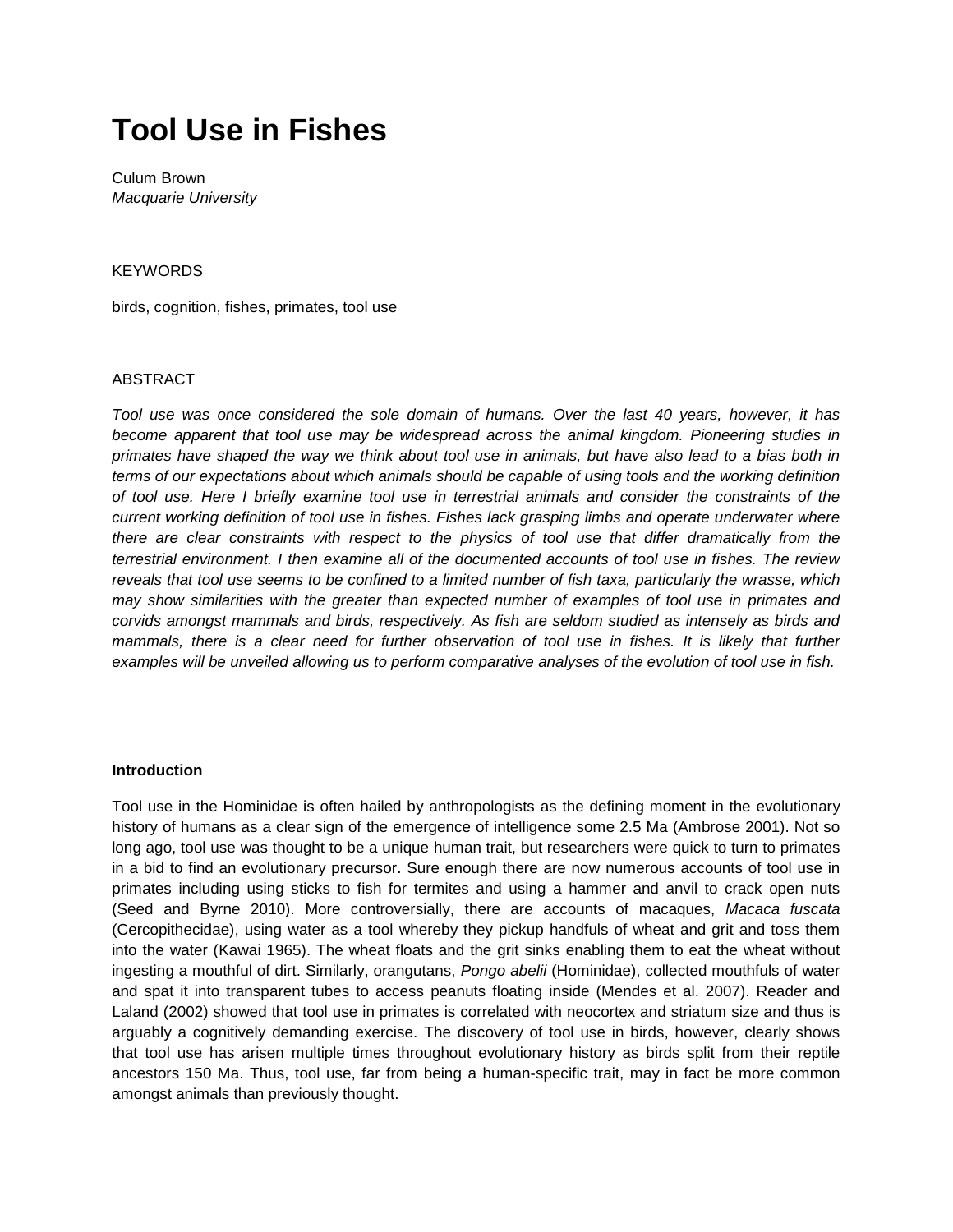# **Tool Use in Fishes**

Culum Brown *Macquarie University*

#### **KEYWORDS**

birds, cognition, fishes, primates, tool use

#### ABSTRACT

*Tool use was once considered the sole domain of humans. Over the last 40 years, however, it has become apparent that tool use may be widespread across the animal kingdom. Pioneering studies in primates have shaped the way we think about tool use in animals, but have also lead to a bias both in terms of our expectations about which animals should be capable of using tools and the working definition of tool use. Here I briefly examine tool use in terrestrial animals and consider the constraints of the current working definition of tool use in fishes. Fishes lack grasping limbs and operate underwater where there are clear constraints with respect to the physics of tool use that differ dramatically from the terrestrial environment. I then examine all of the documented accounts of tool use in fishes. The review reveals that tool use seems to be confined to a limited number of fish taxa, particularly the wrasse, which may show similarities with the greater than expected number of examples of tool use in primates and corvids amongst mammals and birds, respectively. As fish are seldom studied as intensely as birds and*  mammals, there is a clear need for further observation of tool use in fishes. It is likely that further *examples will be unveiled allowing us to perform comparative analyses of the evolution of tool use in fish.*

#### **Introduction**

Tool use in the Hominidae is often hailed by anthropologists as the defining moment in the evolutionary history of humans as a clear sign of the emergence of intelligence some 2.5 Ma (Ambrose 2001). Not so long ago, tool use was thought to be a unique human trait, but researchers were quick to turn to primates in a bid to find an evolutionary precursor. Sure enough there are now numerous accounts of tool use in primates including using sticks to fish for termites and using a hammer and anvil to crack open nuts (Seed and Byrne 2010). More controversially, there are accounts of macaques, *Macaca fuscata* (Cercopithecidae), using water as a tool whereby they pickup handfuls of wheat and grit and toss them into the water (Kawai 1965). The wheat floats and the grit sinks enabling them to eat the wheat without ingesting a mouthful of dirt. Similarly, orangutans, *Pongo abelii* (Hominidae), collected mouthfuls of water and spat it into transparent tubes to access peanuts floating inside (Mendes et al. 2007). Reader and Laland (2002) showed that tool use in primates is correlated with neocortex and striatum size and thus is arguably a cognitively demanding exercise. The discovery of tool use in birds, however, clearly shows that tool use has arisen multiple times throughout evolutionary history as birds split from their reptile ancestors 150 Ma. Thus, tool use, far from being a human-specific trait, may in fact be more common amongst animals than previously thought.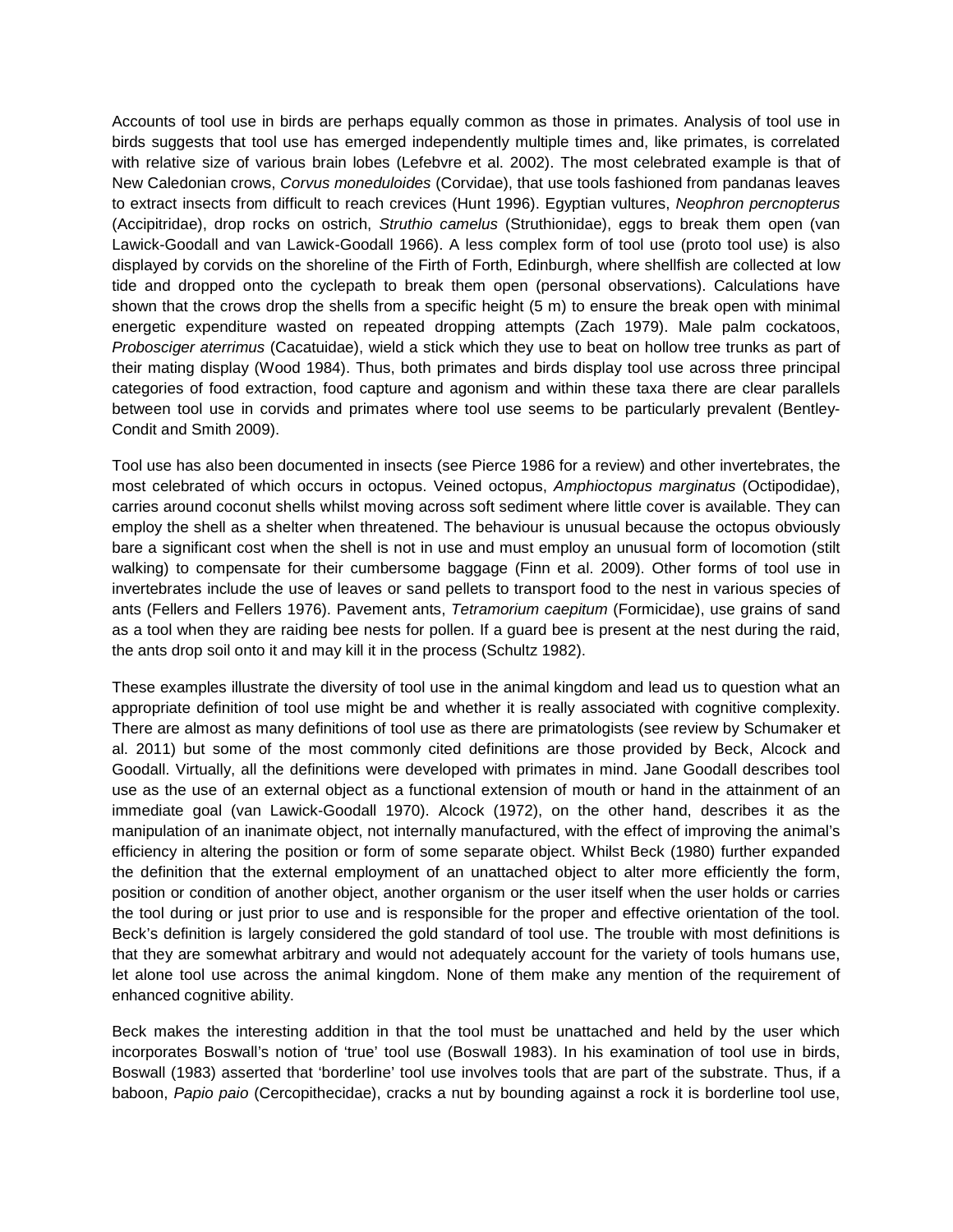Accounts of tool use in birds are perhaps equally common as those in primates. Analysis of tool use in birds suggests that tool use has emerged independently multiple times and, like primates, is correlated with relative size of various brain lobes (Lefebvre et al. 2002). The most celebrated example is that of New Caledonian crows, *Corvus moneduloides* (Corvidae), that use tools fashioned from pandanas leaves to extract insects from difficult to reach crevices (Hunt 1996). Egyptian vultures, *Neophron percnopterus* (Accipitridae), drop rocks on ostrich, *Struthio camelus* (Struthionidae), eggs to break them open (van Lawick-Goodall and van Lawick-Goodall 1966). A less complex form of tool use (proto tool use) is also displayed by corvids on the shoreline of the Firth of Forth, Edinburgh, where shellfish are collected at low tide and dropped onto the cyclepath to break them open (personal observations). Calculations have shown that the crows drop the shells from a specific height (5 m) to ensure the break open with minimal energetic expenditure wasted on repeated dropping attempts (Zach 1979). Male palm cockatoos, *Probosciger aterrimus* (Cacatuidae), wield a stick which they use to beat on hollow tree trunks as part of their mating display (Wood 1984). Thus, both primates and birds display tool use across three principal categories of food extraction, food capture and agonism and within these taxa there are clear parallels between tool use in corvids and primates where tool use seems to be particularly prevalent (Bentley-Condit and Smith 2009).

Tool use has also been documented in insects (see Pierce 1986 for a review) and other invertebrates, the most celebrated of which occurs in octopus. Veined octopus, *Amphioctopus marginatus* (Octipodidae), carries around coconut shells whilst moving across soft sediment where little cover is available. They can employ the shell as a shelter when threatened. The behaviour is unusual because the octopus obviously bare a significant cost when the shell is not in use and must employ an unusual form of locomotion (stilt walking) to compensate for their cumbersome baggage (Finn et al. 2009). Other forms of tool use in invertebrates include the use of leaves or sand pellets to transport food to the nest in various species of ants (Fellers and Fellers 1976). Pavement ants, *Tetramorium caepitum* (Formicidae), use grains of sand as a tool when they are raiding bee nests for pollen. If a guard bee is present at the nest during the raid, the ants drop soil onto it and may kill it in the process (Schultz 1982).

These examples illustrate the diversity of tool use in the animal kingdom and lead us to question what an appropriate definition of tool use might be and whether it is really associated with cognitive complexity. There are almost as many definitions of tool use as there are primatologists (see review by Schumaker et al. 2011) but some of the most commonly cited definitions are those provided by Beck, Alcock and Goodall. Virtually, all the definitions were developed with primates in mind. Jane Goodall describes tool use as the use of an external object as a functional extension of mouth or hand in the attainment of an immediate goal (van Lawick-Goodall 1970). Alcock (1972), on the other hand, describes it as the manipulation of an inanimate object, not internally manufactured, with the effect of improving the animal's efficiency in altering the position or form of some separate object. Whilst Beck (1980) further expanded the definition that the external employment of an unattached object to alter more efficiently the form, position or condition of another object, another organism or the user itself when the user holds or carries the tool during or just prior to use and is responsible for the proper and effective orientation of the tool. Beck's definition is largely considered the gold standard of tool use. The trouble with most definitions is that they are somewhat arbitrary and would not adequately account for the variety of tools humans use, let alone tool use across the animal kingdom. None of them make any mention of the requirement of enhanced cognitive ability.

Beck makes the interesting addition in that the tool must be unattached and held by the user which incorporates Boswall's notion of 'true' tool use (Boswall 1983). In his examination of tool use in birds, Boswall (1983) asserted that 'borderline' tool use involves tools that are part of the substrate. Thus, if a baboon, *Papio paio* (Cercopithecidae), cracks a nut by bounding against a rock it is borderline tool use,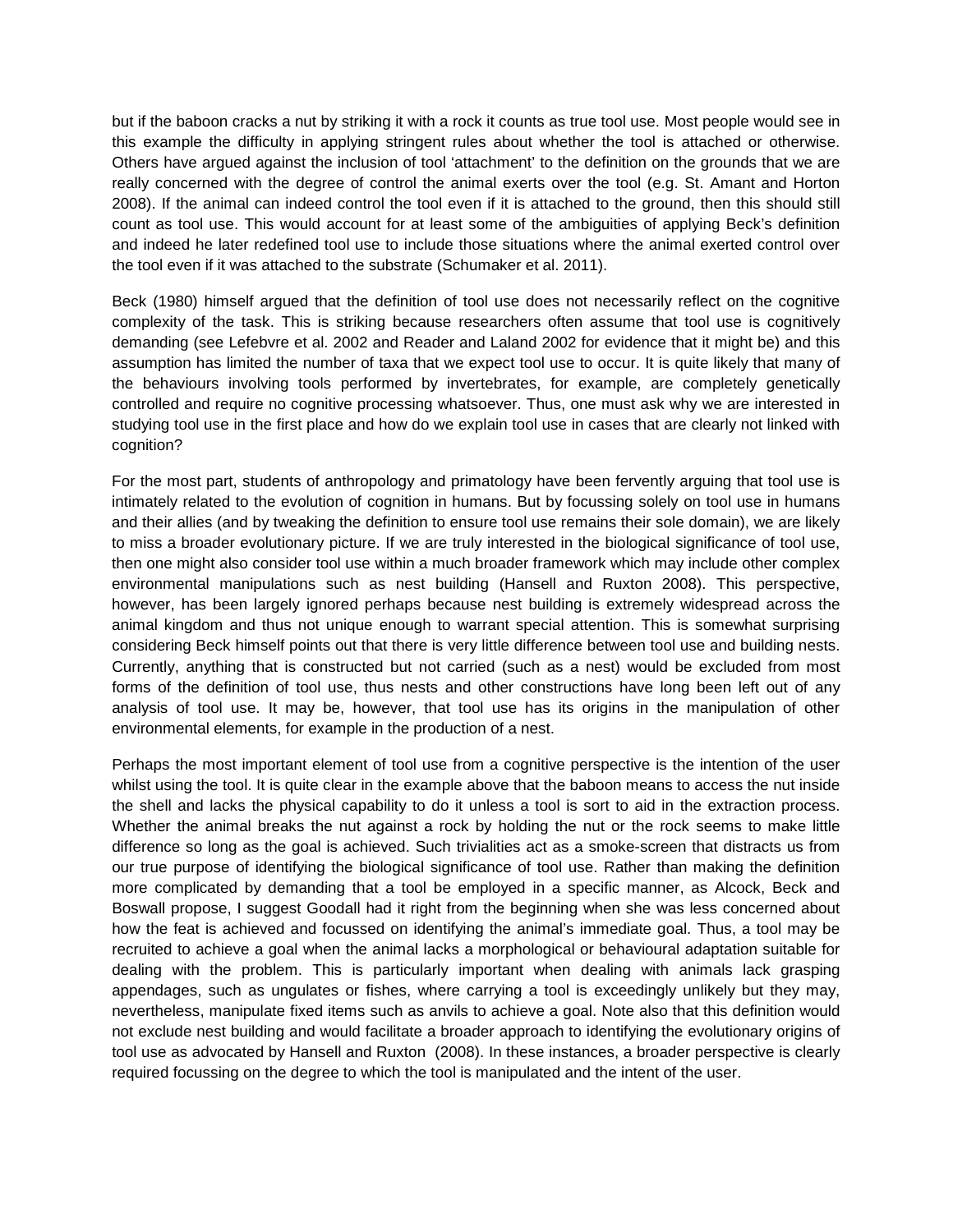but if the baboon cracks a nut by striking it with a rock it counts as true tool use. Most people would see in this example the difficulty in applying stringent rules about whether the tool is attached or otherwise. Others have argued against the inclusion of tool 'attachment' to the definition on the grounds that we are really concerned with the degree of control the animal exerts over the tool (e.g. St. Amant and Horton 2008). If the animal can indeed control the tool even if it is attached to the ground, then this should still count as tool use. This would account for at least some of the ambiguities of applying Beck's definition and indeed he later redefined tool use to include those situations where the animal exerted control over the tool even if it was attached to the substrate (Schumaker et al. 2011).

Beck (1980) himself argued that the definition of tool use does not necessarily reflect on the cognitive complexity of the task. This is striking because researchers often assume that tool use is cognitively demanding (see Lefebvre et al. 2002 and Reader and Laland 2002 for evidence that it might be) and this assumption has limited the number of taxa that we expect tool use to occur. It is quite likely that many of the behaviours involving tools performed by invertebrates, for example, are completely genetically controlled and require no cognitive processing whatsoever. Thus, one must ask why we are interested in studying tool use in the first place and how do we explain tool use in cases that are clearly not linked with cognition?

For the most part, students of anthropology and primatology have been fervently arguing that tool use is intimately related to the evolution of cognition in humans. But by focussing solely on tool use in humans and their allies (and by tweaking the definition to ensure tool use remains their sole domain), we are likely to miss a broader evolutionary picture. If we are truly interested in the biological significance of tool use, then one might also consider tool use within a much broader framework which may include other complex environmental manipulations such as nest building (Hansell and Ruxton 2008). This perspective, however, has been largely ignored perhaps because nest building is extremely widespread across the animal kingdom and thus not unique enough to warrant special attention. This is somewhat surprising considering Beck himself points out that there is very little difference between tool use and building nests. Currently, anything that is constructed but not carried (such as a nest) would be excluded from most forms of the definition of tool use, thus nests and other constructions have long been left out of any analysis of tool use. It may be, however, that tool use has its origins in the manipulation of other environmental elements, for example in the production of a nest.

Perhaps the most important element of tool use from a cognitive perspective is the intention of the user whilst using the tool. It is quite clear in the example above that the baboon means to access the nut inside the shell and lacks the physical capability to do it unless a tool is sort to aid in the extraction process. Whether the animal breaks the nut against a rock by holding the nut or the rock seems to make little difference so long as the goal is achieved. Such trivialities act as a smoke-screen that distracts us from our true purpose of identifying the biological significance of tool use. Rather than making the definition more complicated by demanding that a tool be employed in a specific manner, as Alcock, Beck and Boswall propose, I suggest Goodall had it right from the beginning when she was less concerned about how the feat is achieved and focussed on identifying the animal's immediate goal. Thus, a tool may be recruited to achieve a goal when the animal lacks a morphological or behavioural adaptation suitable for dealing with the problem. This is particularly important when dealing with animals lack grasping appendages, such as ungulates or fishes, where carrying a tool is exceedingly unlikely but they may, nevertheless, manipulate fixed items such as anvils to achieve a goal. Note also that this definition would not exclude nest building and would facilitate a broader approach to identifying the evolutionary origins of tool use as advocated by Hansell and Ruxton (2008). In these instances, a broader perspective is clearly required focussing on the degree to which the tool is manipulated and the intent of the user.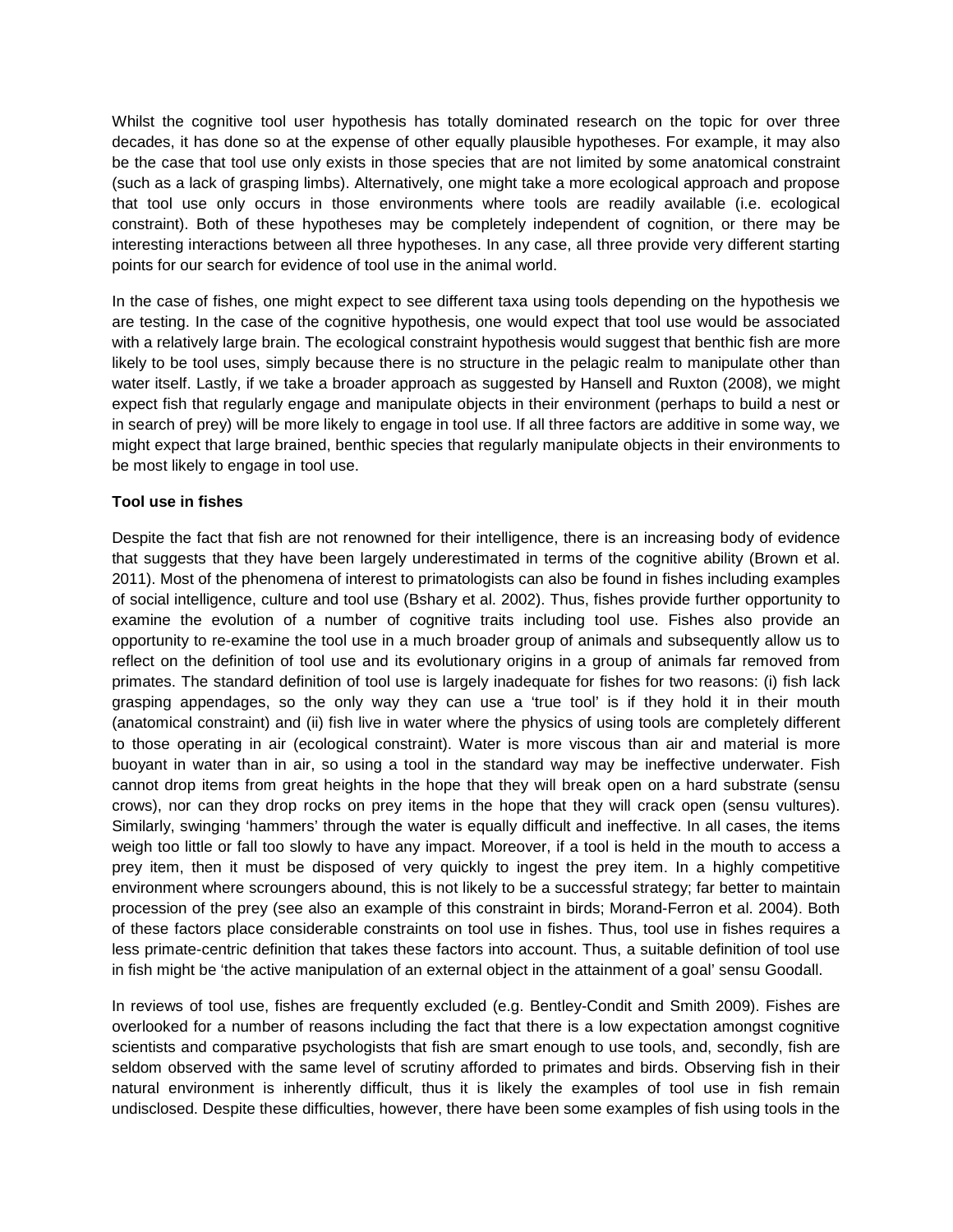Whilst the cognitive tool user hypothesis has totally dominated research on the topic for over three decades, it has done so at the expense of other equally plausible hypotheses. For example, it may also be the case that tool use only exists in those species that are not limited by some anatomical constraint (such as a lack of grasping limbs). Alternatively, one might take a more ecological approach and propose that tool use only occurs in those environments where tools are readily available (i.e. ecological constraint). Both of these hypotheses may be completely independent of cognition, or there may be interesting interactions between all three hypotheses. In any case, all three provide very different starting points for our search for evidence of tool use in the animal world.

In the case of fishes, one might expect to see different taxa using tools depending on the hypothesis we are testing. In the case of the cognitive hypothesis, one would expect that tool use would be associated with a relatively large brain. The ecological constraint hypothesis would suggest that benthic fish are more likely to be tool uses, simply because there is no structure in the pelagic realm to manipulate other than water itself. Lastly, if we take a broader approach as suggested by Hansell and Ruxton (2008), we might expect fish that regularly engage and manipulate objects in their environment (perhaps to build a nest or in search of prey) will be more likely to engage in tool use. If all three factors are additive in some way, we might expect that large brained, benthic species that regularly manipulate objects in their environments to be most likely to engage in tool use.

#### **Tool use in fishes**

Despite the fact that fish are not renowned for their intelligence, there is an increasing body of evidence that suggests that they have been largely underestimated in terms of the cognitive ability (Brown et al. 2011). Most of the phenomena of interest to primatologists can also be found in fishes including examples of social intelligence, culture and tool use (Bshary et al. 2002). Thus, fishes provide further opportunity to examine the evolution of a number of cognitive traits including tool use. Fishes also provide an opportunity to re-examine the tool use in a much broader group of animals and subsequently allow us to reflect on the definition of tool use and its evolutionary origins in a group of animals far removed from primates. The standard definition of tool use is largely inadequate for fishes for two reasons: (i) fish lack grasping appendages, so the only way they can use a 'true tool' is if they hold it in their mouth (anatomical constraint) and (ii) fish live in water where the physics of using tools are completely different to those operating in air (ecological constraint). Water is more viscous than air and material is more buoyant in water than in air, so using a tool in the standard way may be ineffective underwater. Fish cannot drop items from great heights in the hope that they will break open on a hard substrate (sensu crows), nor can they drop rocks on prey items in the hope that they will crack open (sensu vultures). Similarly, swinging 'hammers' through the water is equally difficult and ineffective. In all cases, the items weigh too little or fall too slowly to have any impact. Moreover, if a tool is held in the mouth to access a prey item, then it must be disposed of very quickly to ingest the prey item. In a highly competitive environment where scroungers abound, this is not likely to be a successful strategy; far better to maintain procession of the prey (see also an example of this constraint in birds; Morand-Ferron et al. 2004). Both of these factors place considerable constraints on tool use in fishes. Thus, tool use in fishes requires a less primate-centric definition that takes these factors into account. Thus, a suitable definition of tool use in fish might be 'the active manipulation of an external object in the attainment of a goal' sensu Goodall.

In reviews of tool use, fishes are frequently excluded (e.g. Bentley-Condit and Smith 2009). Fishes are overlooked for a number of reasons including the fact that there is a low expectation amongst cognitive scientists and comparative psychologists that fish are smart enough to use tools, and, secondly, fish are seldom observed with the same level of scrutiny afforded to primates and birds. Observing fish in their natural environment is inherently difficult, thus it is likely the examples of tool use in fish remain undisclosed. Despite these difficulties, however, there have been some examples of fish using tools in the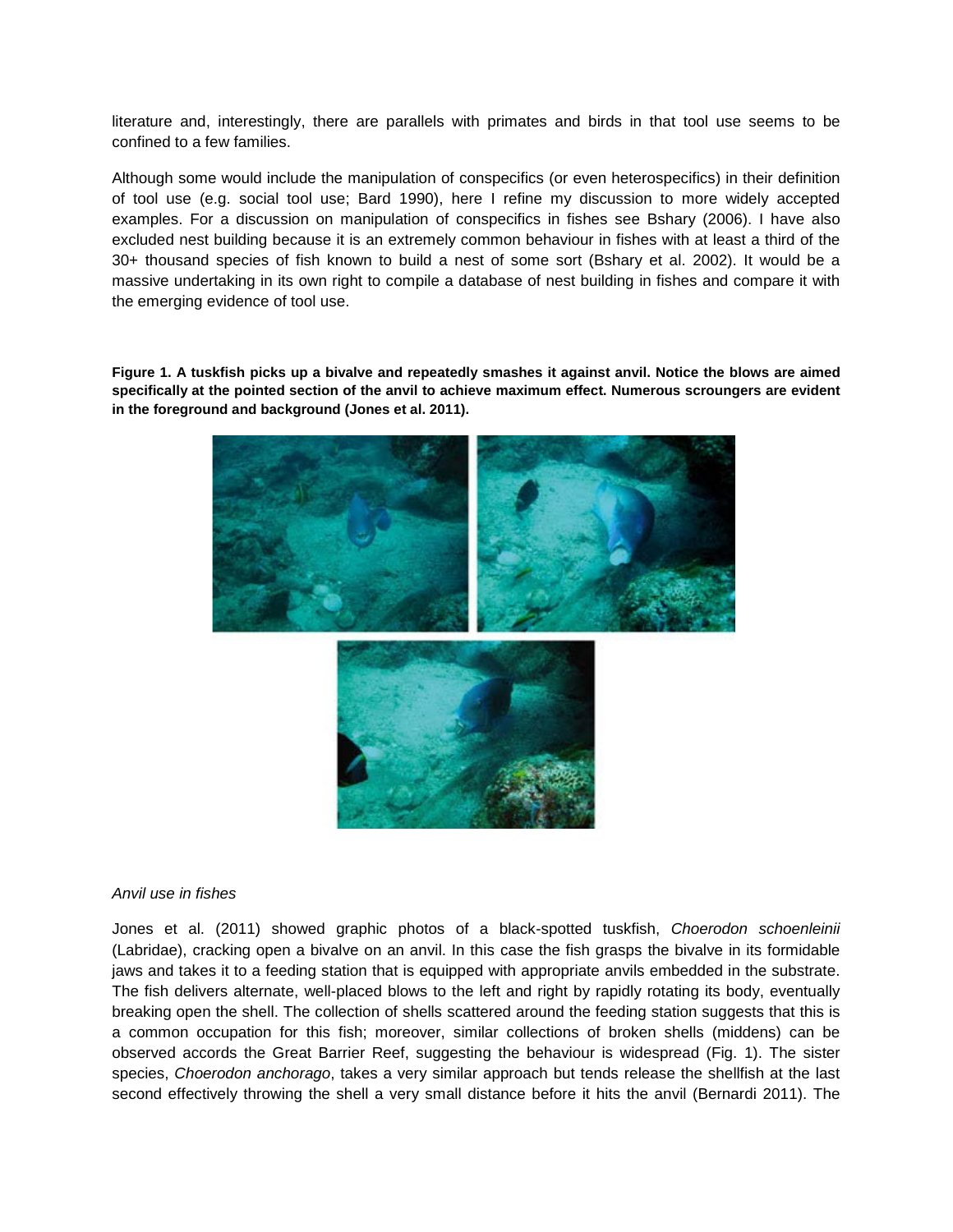literature and, interestingly, there are parallels with primates and birds in that tool use seems to be confined to a few families.

Although some would include the manipulation of conspecifics (or even heterospecifics) in their definition of tool use (e.g. social tool use; Bard 1990), here I refine my discussion to more widely accepted examples. For a discussion on manipulation of conspecifics in fishes see Bshary (2006). I have also excluded nest building because it is an extremely common behaviour in fishes with at least a third of the 30+ thousand species of fish known to build a nest of some sort (Bshary et al. 2002). It would be a massive undertaking in its own right to compile a database of nest building in fishes and compare it with the emerging evidence of tool use.

**Figure 1. A tuskfish picks up a bivalve and repeatedly smashes it against anvil. Notice the blows are aimed specifically at the pointed section of the anvil to achieve maximum effect. Numerous scroungers are evident in the foreground and background (Jones et al. 2011).**



#### *Anvil use in fishes*

Jones et al. (2011) showed graphic photos of a black-spotted tuskfish, *Choerodon schoenleinii* (Labridae), cracking open a bivalve on an anvil. In this case the fish grasps the bivalve in its formidable jaws and takes it to a feeding station that is equipped with appropriate anvils embedded in the substrate. The fish delivers alternate, well-placed blows to the left and right by rapidly rotating its body, eventually breaking open the shell. The collection of shells scattered around the feeding station suggests that this is a common occupation for this fish; moreover, similar collections of broken shells (middens) can be observed accords the Great Barrier Reef, suggesting the behaviour is widespread (Fig. 1). The sister species, *Choerodon anchorago*, takes a very similar approach but tends release the shellfish at the last second effectively throwing the shell a very small distance before it hits the anvil (Bernardi 2011). The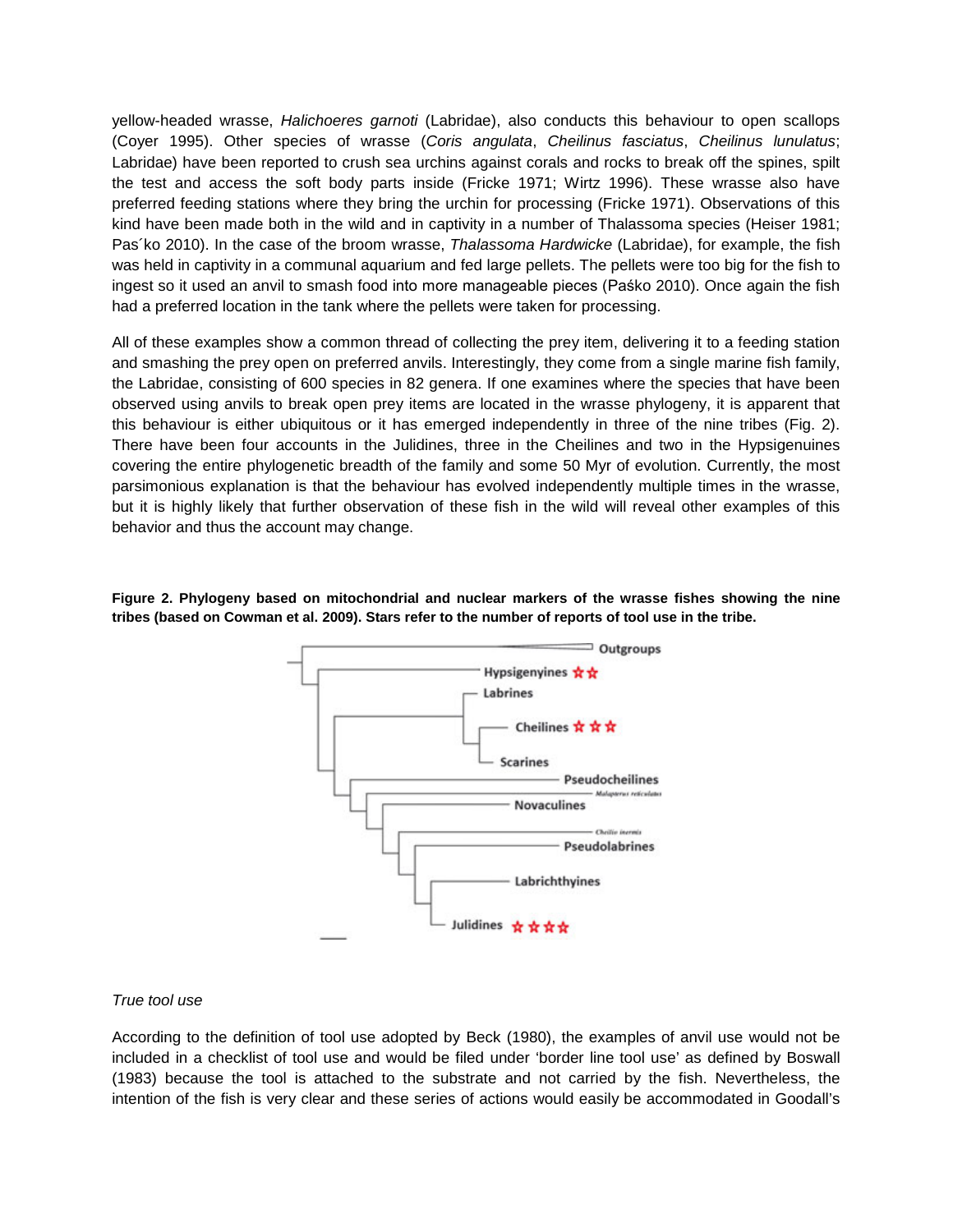yellow-headed wrasse, *Halichoeres garnoti* (Labridae), also conducts this behaviour to open scallops (Coyer 1995). Other species of wrasse (*Coris angulata*, *Cheilinus fasciatus*, *Cheilinus lunulatus*; Labridae) have been reported to crush sea urchins against corals and rocks to break off the spines, spilt the test and access the soft body parts inside (Fricke 1971; Wirtz 1996). These wrasse also have preferred feeding stations where they bring the urchin for processing (Fricke 1971). Observations of this kind have been made both in the wild and in captivity in a number of Thalassoma species (Heiser 1981; Pas´ko 2010). In the case of the broom wrasse, *Thalassoma Hardwicke* (Labridae), for example, the fish was held in captivity in a communal aquarium and fed large pellets. The pellets were too big for the fish to ingest so it used an anvil to smash food into more manageable pieces (Paśko 2010). Once again the fish had a preferred location in the tank where the pellets were taken for processing.

All of these examples show a common thread of collecting the prey item, delivering it to a feeding station and smashing the prey open on preferred anvils. Interestingly, they come from a single marine fish family, the Labridae, consisting of 600 species in 82 genera. If one examines where the species that have been observed using anvils to break open prey items are located in the wrasse phylogeny, it is apparent that this behaviour is either ubiquitous or it has emerged independently in three of the nine tribes (Fig. 2). There have been four accounts in the Julidines, three in the Cheilines and two in the Hypsigenuines covering the entire phylogenetic breadth of the family and some 50 Myr of evolution. Currently, the most parsimonious explanation is that the behaviour has evolved independently multiple times in the wrasse, but it is highly likely that further observation of these fish in the wild will reveal other examples of this behavior and thus the account may change.



**Figure 2. Phylogeny based on mitochondrial and nuclear markers of the wrasse fishes showing the nine tribes (based on Cowman et al. 2009). Stars refer to the number of reports of tool use in the tribe.**

#### *True tool use*

According to the definition of tool use adopted by Beck (1980), the examples of anvil use would not be included in a checklist of tool use and would be filed under 'border line tool use' as defined by Boswall (1983) because the tool is attached to the substrate and not carried by the fish. Nevertheless, the intention of the fish is very clear and these series of actions would easily be accommodated in Goodall's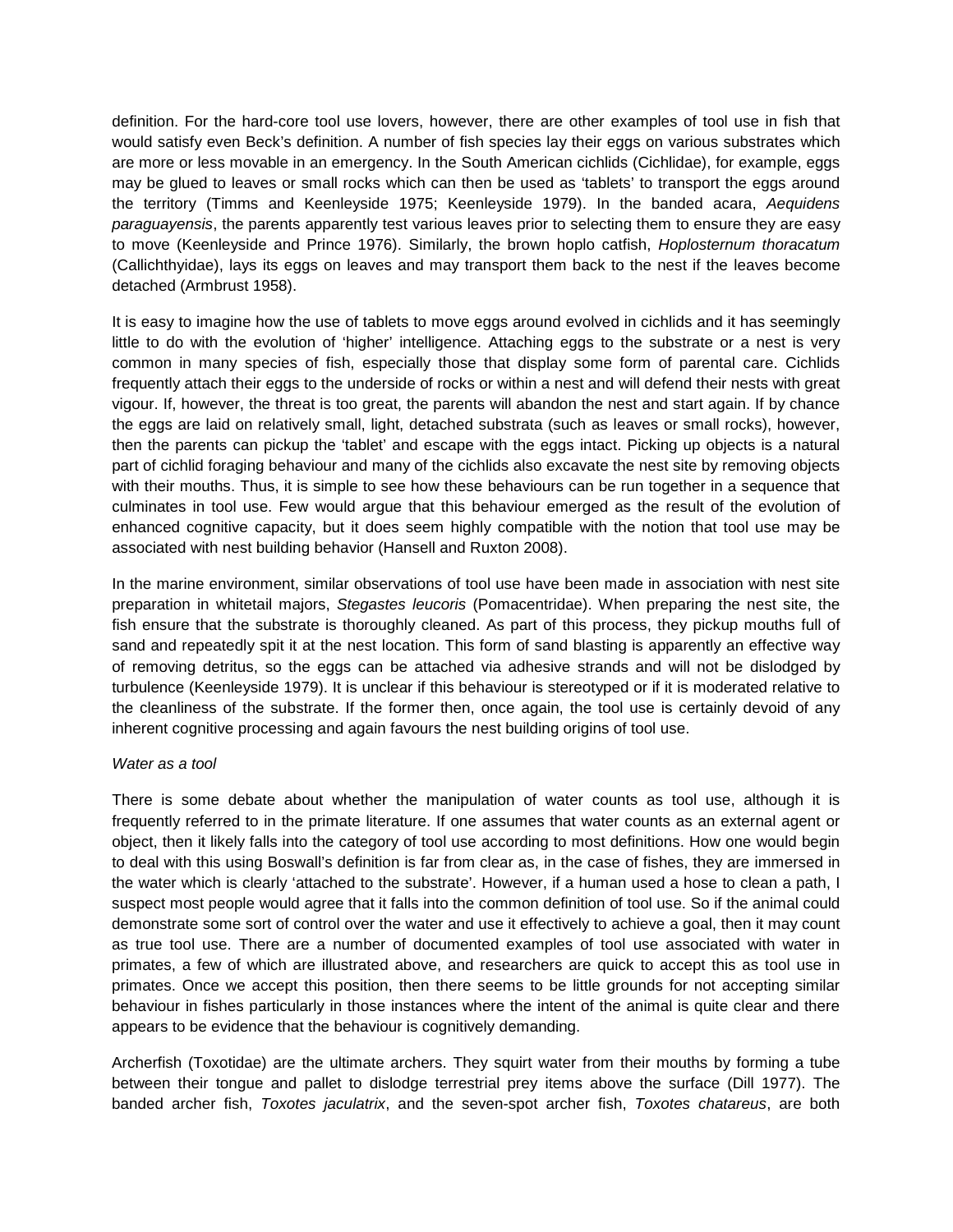definition. For the hard-core tool use lovers, however, there are other examples of tool use in fish that would satisfy even Beck's definition. A number of fish species lay their eggs on various substrates which are more or less movable in an emergency. In the South American cichlids (Cichlidae), for example, eggs may be glued to leaves or small rocks which can then be used as 'tablets' to transport the eggs around the territory (Timms and Keenleyside 1975; Keenleyside 1979). In the banded acara, *Aequidens paraguayensis*, the parents apparently test various leaves prior to selecting them to ensure they are easy to move (Keenleyside and Prince 1976). Similarly, the brown hoplo catfish, *Hoplosternum thoracatum* (Callichthyidae), lays its eggs on leaves and may transport them back to the nest if the leaves become detached (Armbrust 1958).

It is easy to imagine how the use of tablets to move eggs around evolved in cichlids and it has seemingly little to do with the evolution of 'higher' intelligence. Attaching eggs to the substrate or a nest is very common in many species of fish, especially those that display some form of parental care. Cichlids frequently attach their eggs to the underside of rocks or within a nest and will defend their nests with great vigour. If, however, the threat is too great, the parents will abandon the nest and start again. If by chance the eggs are laid on relatively small, light, detached substrata (such as leaves or small rocks), however, then the parents can pickup the 'tablet' and escape with the eggs intact. Picking up objects is a natural part of cichlid foraging behaviour and many of the cichlids also excavate the nest site by removing objects with their mouths. Thus, it is simple to see how these behaviours can be run together in a sequence that culminates in tool use. Few would argue that this behaviour emerged as the result of the evolution of enhanced cognitive capacity, but it does seem highly compatible with the notion that tool use may be associated with nest building behavior (Hansell and Ruxton 2008).

In the marine environment, similar observations of tool use have been made in association with nest site preparation in whitetail majors, *Stegastes leucoris* (Pomacentridae). When preparing the nest site, the fish ensure that the substrate is thoroughly cleaned. As part of this process, they pickup mouths full of sand and repeatedly spit it at the nest location. This form of sand blasting is apparently an effective way of removing detritus, so the eggs can be attached via adhesive strands and will not be dislodged by turbulence (Keenleyside 1979). It is unclear if this behaviour is stereotyped or if it is moderated relative to the cleanliness of the substrate. If the former then, once again, the tool use is certainly devoid of any inherent cognitive processing and again favours the nest building origins of tool use.

#### *Water as a tool*

There is some debate about whether the manipulation of water counts as tool use, although it is frequently referred to in the primate literature. If one assumes that water counts as an external agent or object, then it likely falls into the category of tool use according to most definitions. How one would begin to deal with this using Boswall's definition is far from clear as, in the case of fishes, they are immersed in the water which is clearly 'attached to the substrate'. However, if a human used a hose to clean a path, I suspect most people would agree that it falls into the common definition of tool use. So if the animal could demonstrate some sort of control over the water and use it effectively to achieve a goal, then it may count as true tool use. There are a number of documented examples of tool use associated with water in primates, a few of which are illustrated above, and researchers are quick to accept this as tool use in primates. Once we accept this position, then there seems to be little grounds for not accepting similar behaviour in fishes particularly in those instances where the intent of the animal is quite clear and there appears to be evidence that the behaviour is cognitively demanding.

Archerfish (Toxotidae) are the ultimate archers. They squirt water from their mouths by forming a tube between their tongue and pallet to dislodge terrestrial prey items above the surface (Dill 1977). The banded archer fish, *Toxotes jaculatrix*, and the seven-spot archer fish, *Toxotes chatareus*, are both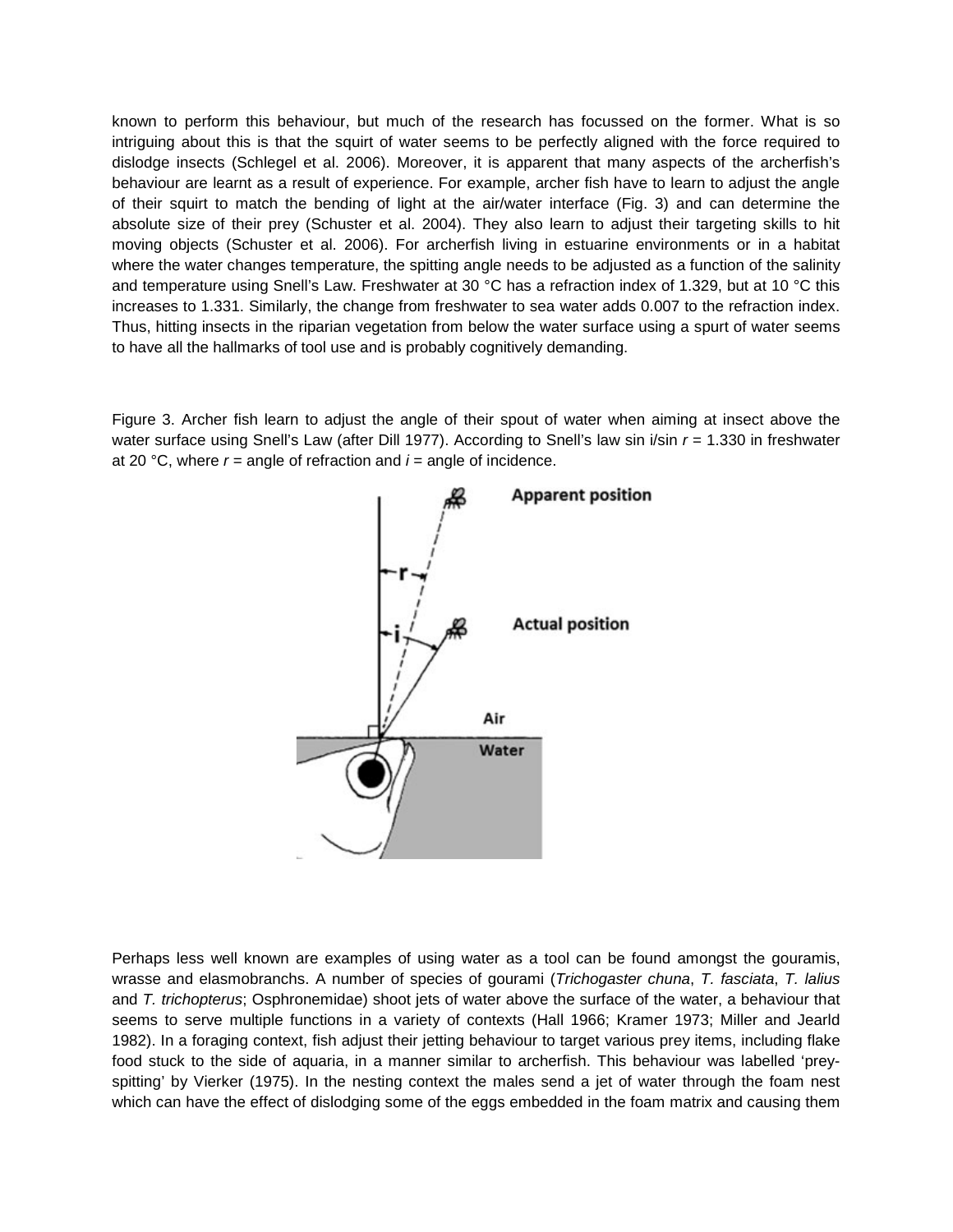known to perform this behaviour, but much of the research has focussed on the former. What is so intriguing about this is that the squirt of water seems to be perfectly aligned with the force required to dislodge insects (Schlegel et al. 2006). Moreover, it is apparent that many aspects of the archerfish's behaviour are learnt as a result of experience. For example, archer fish have to learn to adjust the angle of their squirt to match the bending of light at the air/water interface (Fig. 3) and can determine the absolute size of their prey (Schuster et al. 2004). They also learn to adjust their targeting skills to hit moving objects (Schuster et al. 2006). For archerfish living in estuarine environments or in a habitat where the water changes temperature, the spitting angle needs to be adjusted as a function of the salinity and temperature using Snell's Law. Freshwater at 30 °C has a refraction index of 1.329, but at 10 °C this increases to 1.331. Similarly, the change from freshwater to sea water adds 0.007 to the refraction index. Thus, hitting insects in the riparian vegetation from below the water surface using a spurt of water seems to have all the hallmarks of tool use and is probably cognitively demanding.

Figure 3. Archer fish learn to adjust the angle of their spout of water when aiming at insect above the water surface using Snell's Law (after Dill 1977). According to Snell's law sin i/sin  $r = 1.330$  in freshwater at 20  $^{\circ}$ C, where  $r =$  angle of refraction and  $i =$  angle of incidence.



Perhaps less well known are examples of using water as a tool can be found amongst the gouramis, wrasse and elasmobranchs. A number of species of gourami (*Trichogaster chuna*, *T. fasciata*, *T. lalius* and *T. trichopterus*; Osphronemidae) shoot jets of water above the surface of the water, a behaviour that seems to serve multiple functions in a variety of contexts (Hall 1966; Kramer 1973; Miller and Jearld 1982). In a foraging context, fish adjust their jetting behaviour to target various prey items, including flake food stuck to the side of aquaria, in a manner similar to archerfish. This behaviour was labelled 'preyspitting' by Vierker (1975). In the nesting context the males send a jet of water through the foam nest which can have the effect of dislodging some of the eggs embedded in the foam matrix and causing them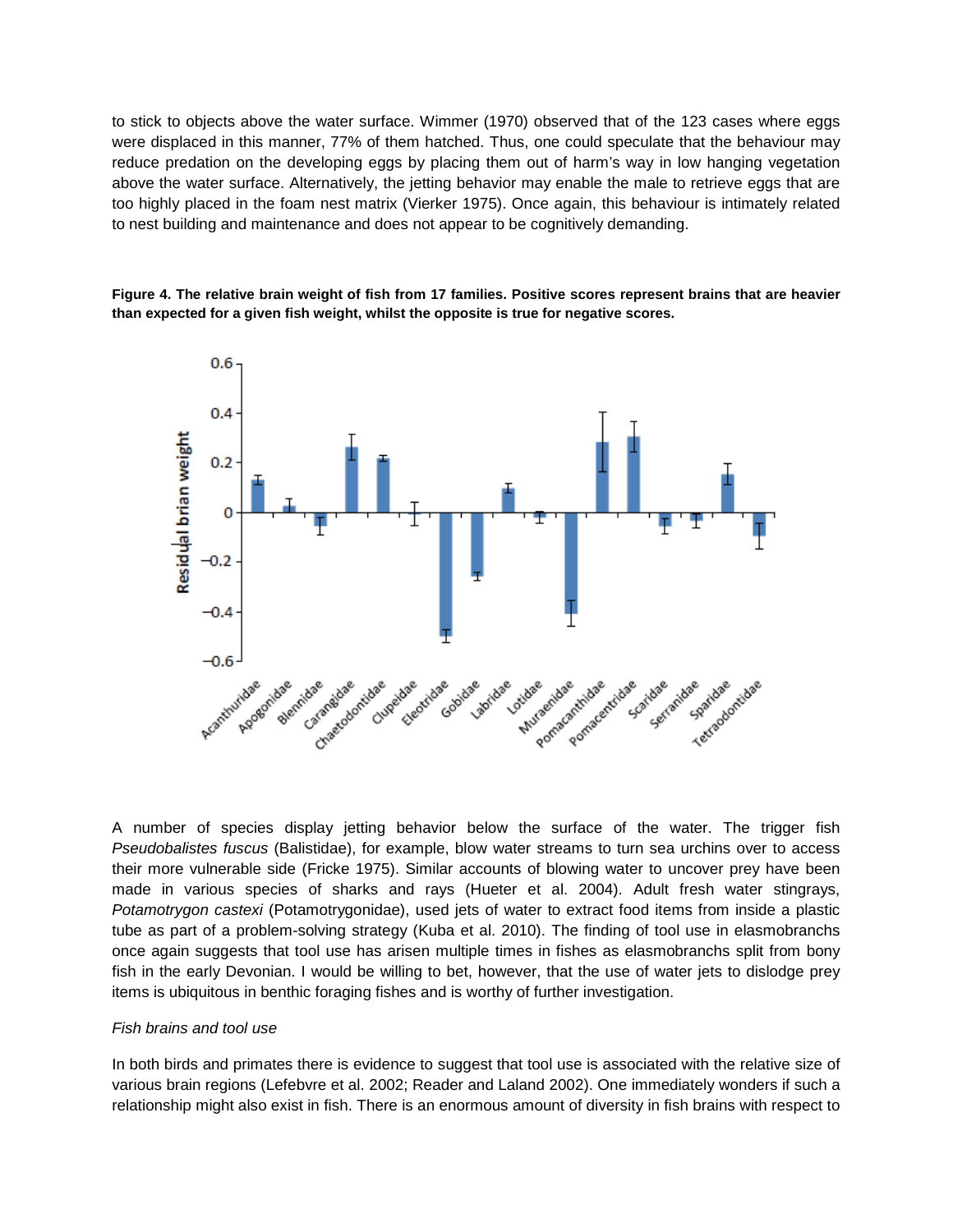to stick to objects above the water surface. Wimmer (1970) observed that of the 123 cases where eggs were displaced in this manner, 77% of them hatched. Thus, one could speculate that the behaviour may reduce predation on the developing eggs by placing them out of harm's way in low hanging vegetation above the water surface. Alternatively, the jetting behavior may enable the male to retrieve eggs that are too highly placed in the foam nest matrix (Vierker 1975). Once again, this behaviour is intimately related to nest building and maintenance and does not appear to be cognitively demanding.





A number of species display jetting behavior below the surface of the water. The trigger fish *Pseudobalistes fuscus* (Balistidae), for example, blow water streams to turn sea urchins over to access their more vulnerable side (Fricke 1975). Similar accounts of blowing water to uncover prey have been made in various species of sharks and rays (Hueter et al. 2004). Adult fresh water stingrays, *Potamotrygon castexi* (Potamotrygonidae), used jets of water to extract food items from inside a plastic tube as part of a problem-solving strategy (Kuba et al. 2010). The finding of tool use in elasmobranchs once again suggests that tool use has arisen multiple times in fishes as elasmobranchs split from bony fish in the early Devonian. I would be willing to bet, however, that the use of water jets to dislodge prey items is ubiquitous in benthic foraging fishes and is worthy of further investigation.

#### *Fish brains and tool use*

In both birds and primates there is evidence to suggest that tool use is associated with the relative size of various brain regions (Lefebvre et al. 2002; Reader and Laland 2002). One immediately wonders if such a relationship might also exist in fish. There is an enormous amount of diversity in fish brains with respect to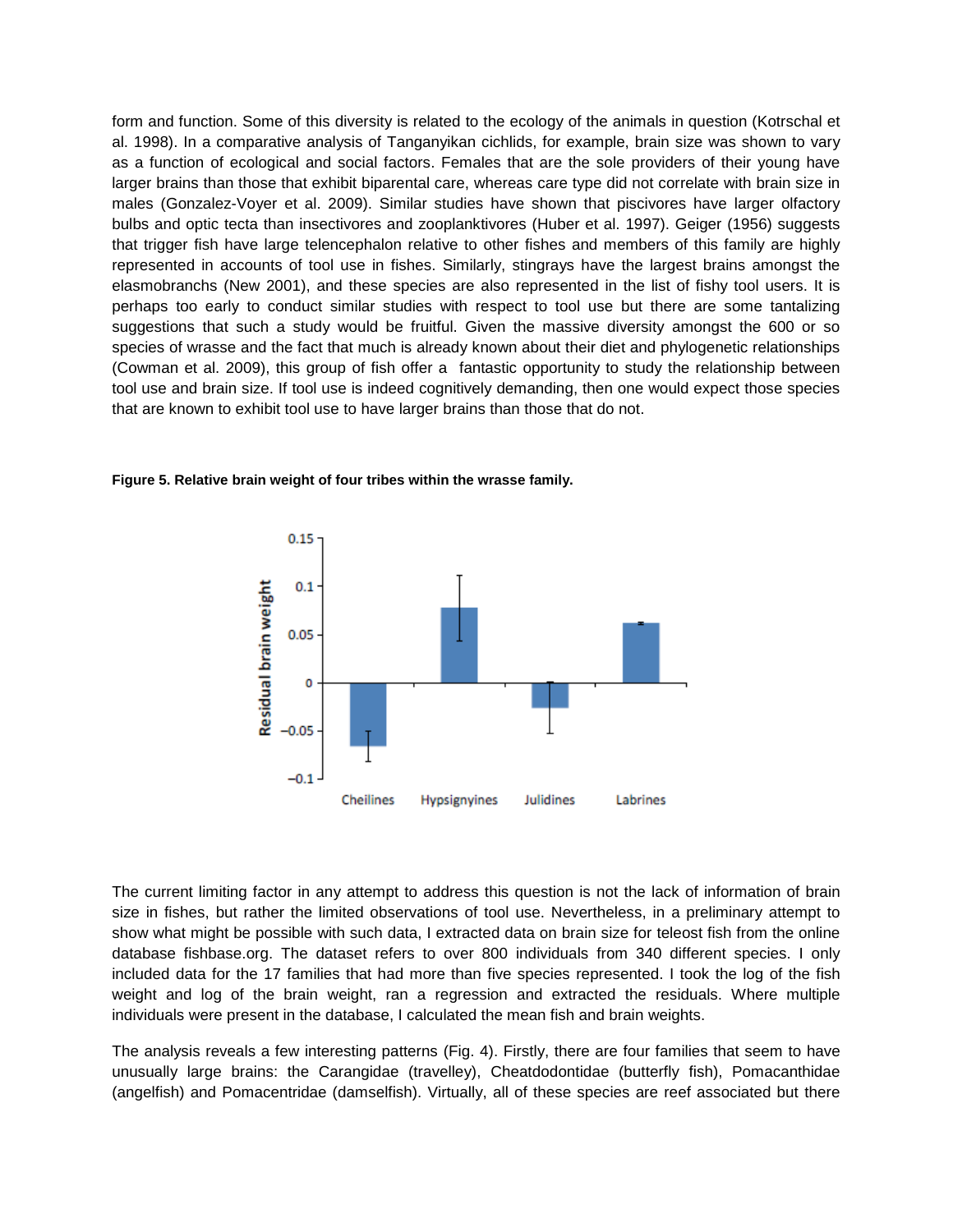form and function. Some of this diversity is related to the ecology of the animals in question (Kotrschal et al. 1998). In a comparative analysis of Tanganyikan cichlids, for example, brain size was shown to vary as a function of ecological and social factors. Females that are the sole providers of their young have larger brains than those that exhibit biparental care, whereas care type did not correlate with brain size in males (Gonzalez-Voyer et al. 2009). Similar studies have shown that piscivores have larger olfactory bulbs and optic tecta than insectivores and zooplanktivores (Huber et al. 1997). Geiger (1956) suggests that trigger fish have large telencephalon relative to other fishes and members of this family are highly represented in accounts of tool use in fishes. Similarly, stingrays have the largest brains amongst the elasmobranchs (New 2001), and these species are also represented in the list of fishy tool users. It is perhaps too early to conduct similar studies with respect to tool use but there are some tantalizing suggestions that such a study would be fruitful. Given the massive diversity amongst the 600 or so species of wrasse and the fact that much is already known about their diet and phylogenetic relationships (Cowman et al. 2009), this group of fish offer a fantastic opportunity to study the relationship between tool use and brain size. If tool use is indeed cognitively demanding, then one would expect those species that are known to exhibit tool use to have larger brains than those that do not.



**Figure 5. Relative brain weight of four tribes within the wrasse family.**

The current limiting factor in any attempt to address this question is not the lack of information of brain size in fishes, but rather the limited observations of tool use. Nevertheless, in a preliminary attempt to show what might be possible with such data, I extracted data on brain size for teleost fish from the online database fishbase.org. The dataset refers to over 800 individuals from 340 different species. I only included data for the 17 families that had more than five species represented. I took the log of the fish weight and log of the brain weight, ran a regression and extracted the residuals. Where multiple individuals were present in the database, I calculated the mean fish and brain weights.

The analysis reveals a few interesting patterns (Fig. 4). Firstly, there are four families that seem to have unusually large brains: the Carangidae (travelley), Cheatdodontidae (butterfly fish), Pomacanthidae (angelfish) and Pomacentridae (damselfish). Virtually, all of these species are reef associated but there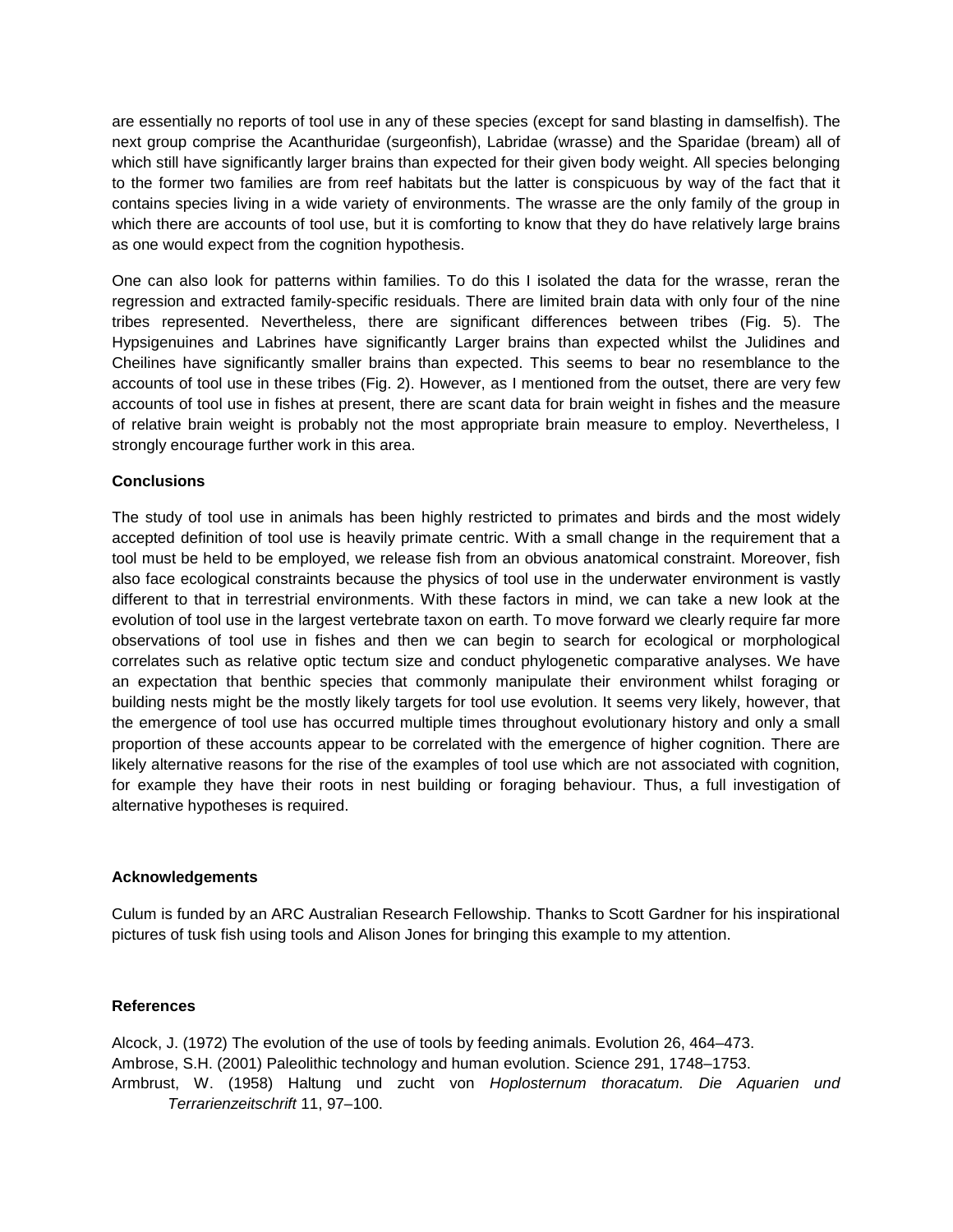are essentially no reports of tool use in any of these species (except for sand blasting in damselfish). The next group comprise the Acanthuridae (surgeonfish), Labridae (wrasse) and the Sparidae (bream) all of which still have significantly larger brains than expected for their given body weight. All species belonging to the former two families are from reef habitats but the latter is conspicuous by way of the fact that it contains species living in a wide variety of environments. The wrasse are the only family of the group in which there are accounts of tool use, but it is comforting to know that they do have relatively large brains as one would expect from the cognition hypothesis.

One can also look for patterns within families. To do this I isolated the data for the wrasse, reran the regression and extracted family-specific residuals. There are limited brain data with only four of the nine tribes represented. Nevertheless, there are significant differences between tribes (Fig. 5). The Hypsigenuines and Labrines have significantly Larger brains than expected whilst the Julidines and Cheilines have significantly smaller brains than expected. This seems to bear no resemblance to the accounts of tool use in these tribes (Fig. 2). However, as I mentioned from the outset, there are very few accounts of tool use in fishes at present, there are scant data for brain weight in fishes and the measure of relative brain weight is probably not the most appropriate brain measure to employ. Nevertheless, I strongly encourage further work in this area.

#### **Conclusions**

The study of tool use in animals has been highly restricted to primates and birds and the most widely accepted definition of tool use is heavily primate centric. With a small change in the requirement that a tool must be held to be employed, we release fish from an obvious anatomical constraint. Moreover, fish also face ecological constraints because the physics of tool use in the underwater environment is vastly different to that in terrestrial environments. With these factors in mind, we can take a new look at the evolution of tool use in the largest vertebrate taxon on earth. To move forward we clearly require far more observations of tool use in fishes and then we can begin to search for ecological or morphological correlates such as relative optic tectum size and conduct phylogenetic comparative analyses. We have an expectation that benthic species that commonly manipulate their environment whilst foraging or building nests might be the mostly likely targets for tool use evolution. It seems very likely, however, that the emergence of tool use has occurred multiple times throughout evolutionary history and only a small proportion of these accounts appear to be correlated with the emergence of higher cognition. There are likely alternative reasons for the rise of the examples of tool use which are not associated with cognition, for example they have their roots in nest building or foraging behaviour. Thus, a full investigation of alternative hypotheses is required.

#### **Acknowledgements**

Culum is funded by an ARC Australian Research Fellowship. Thanks to Scott Gardner for his inspirational pictures of tusk fish using tools and Alison Jones for bringing this example to my attention.

#### **References**

Alcock, J. (1972) The evolution of the use of tools by feeding animals. Evolution 26, 464–473. Ambrose, S.H. (2001) Paleolithic technology and human evolution. Science 291, 1748–1753. Armbrust, W. (1958) Haltung und zucht von *Hoplosternum thoracatum. Die Aquarien und Terrarienzeitschrift* 11, 97–100.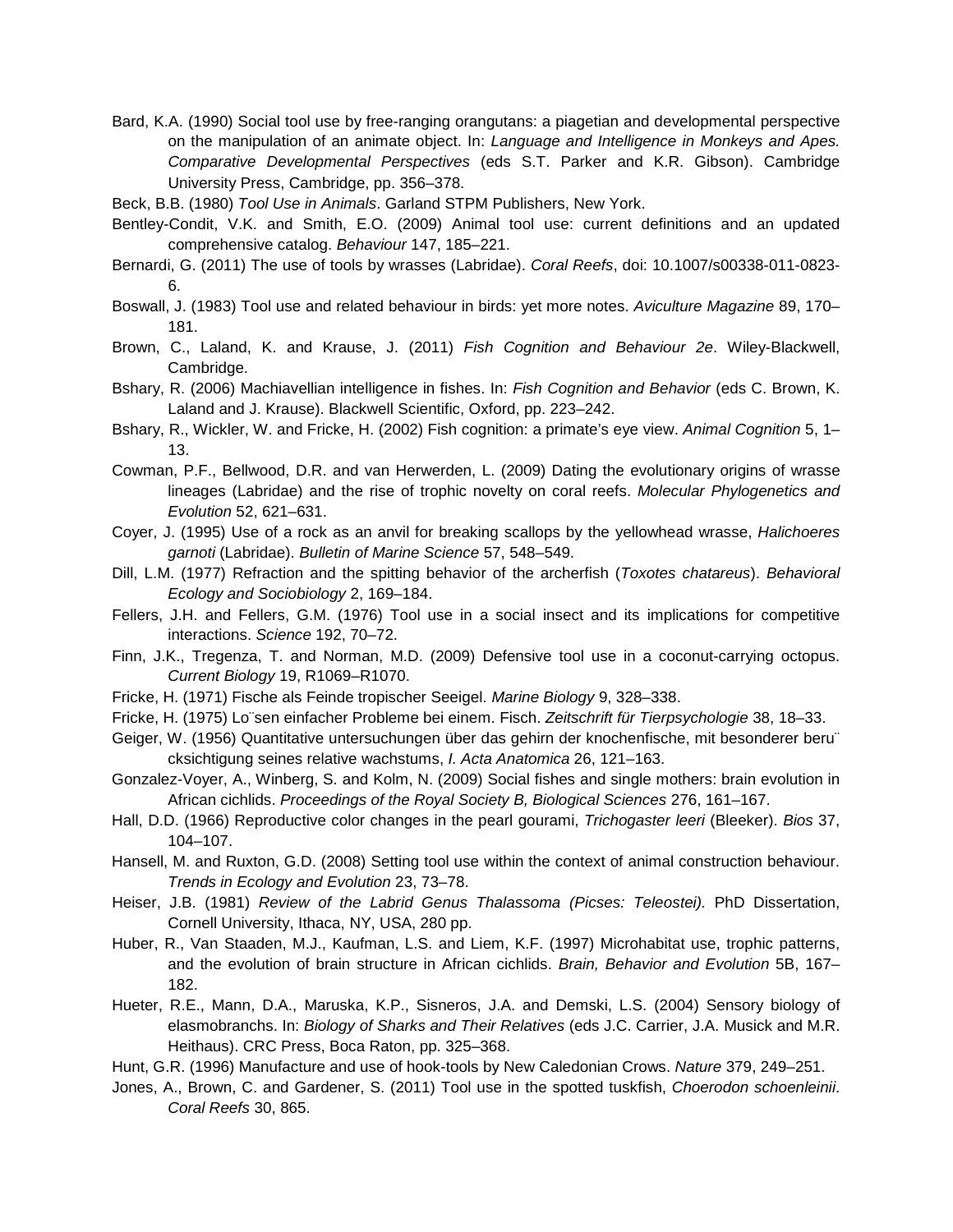Bard, K.A. (1990) Social tool use by free-ranging orangutans: a piagetian and developmental perspective on the manipulation of an animate object. In: *Language and Intelligence in Monkeys and Apes. Comparative Developmental Perspectives* (eds S.T. Parker and K.R. Gibson). Cambridge University Press, Cambridge, pp. 356–378.

Beck, B.B. (1980) *Tool Use in Animals*. Garland STPM Publishers, New York.

- Bentley-Condit, V.K. and Smith, E.O. (2009) Animal tool use: current definitions and an updated comprehensive catalog. *Behaviour* 147, 185–221.
- Bernardi, G. (2011) The use of tools by wrasses (Labridae). *Coral Reefs*, doi: 10.1007/s00338-011-0823- 6.
- Boswall, J. (1983) Tool use and related behaviour in birds: yet more notes. *Aviculture Magazine* 89, 170– 181.
- Brown, C., Laland, K. and Krause, J. (2011) *Fish Cognition and Behaviour 2e*. Wiley-Blackwell, Cambridge.
- Bshary, R. (2006) Machiavellian intelligence in fishes. In: *Fish Cognition and Behavior* (eds C. Brown, K. Laland and J. Krause). Blackwell Scientific, Oxford, pp. 223–242.
- Bshary, R., Wickler, W. and Fricke, H. (2002) Fish cognition: a primate's eye view. *Animal Cognition* 5, 1– 13.
- Cowman, P.F., Bellwood, D.R. and van Herwerden, L. (2009) Dating the evolutionary origins of wrasse lineages (Labridae) and the rise of trophic novelty on coral reefs. *Molecular Phylogenetics and Evolution* 52, 621–631.
- Coyer, J. (1995) Use of a rock as an anvil for breaking scallops by the yellowhead wrasse, *Halichoeres garnoti* (Labridae). *Bulletin of Marine Science* 57, 548–549.
- Dill, L.M. (1977) Refraction and the spitting behavior of the archerfish (*Toxotes chatareus*). *Behavioral Ecology and Sociobiology* 2, 169–184.
- Fellers, J.H. and Fellers, G.M. (1976) Tool use in a social insect and its implications for competitive interactions. *Science* 192, 70–72.
- Finn, J.K., Tregenza, T. and Norman, M.D. (2009) Defensive tool use in a coconut-carrying octopus. *Current Biology* 19, R1069–R1070.
- Fricke, H. (1971) Fische als Feinde tropischer Seeigel. *Marine Biology* 9, 328–338.
- Fricke, H. (1975) Lo¨sen einfacher Probleme bei einem. Fisch. *Zeitschrift für Tierpsychologie* 38, 18–33.
- Geiger, W. (1956) Quantitative untersuchungen über das gehirn der knochenfische, mit besonderer beru¨ cksichtigung seines relative wachstums, *I. Acta Anatomica* 26, 121–163.
- Gonzalez-Voyer, A., Winberg, S. and Kolm, N. (2009) Social fishes and single mothers: brain evolution in African cichlids. *Proceedings of the Royal Society B, Biological Sciences* 276, 161–167.
- Hall, D.D. (1966) Reproductive color changes in the pearl gourami, *Trichogaster leeri* (Bleeker). *Bios* 37, 104–107.
- Hansell, M. and Ruxton, G.D. (2008) Setting tool use within the context of animal construction behaviour. *Trends in Ecology and Evolution* 23, 73–78.
- Heiser, J.B. (1981) *Review of the Labrid Genus Thalassoma (Picses: Teleostei).* PhD Dissertation, Cornell University, Ithaca, NY, USA, 280 pp.
- Huber, R., Van Staaden, M.J., Kaufman, L.S. and Liem, K.F. (1997) Microhabitat use, trophic patterns, and the evolution of brain structure in African cichlids. *Brain, Behavior and Evolution* 5B, 167– 182.
- Hueter, R.E., Mann, D.A., Maruska, K.P., Sisneros, J.A. and Demski, L.S. (2004) Sensory biology of elasmobranchs. In: *Biology of Sharks and Their Relatives* (eds J.C. Carrier, J.A. Musick and M.R. Heithaus). CRC Press, Boca Raton, pp. 325–368.
- Hunt, G.R. (1996) Manufacture and use of hook-tools by New Caledonian Crows. *Nature* 379, 249–251.
- Jones, A., Brown, C. and Gardener, S. (2011) Tool use in the spotted tuskfish, *Choerodon schoenleinii*. *Coral Reefs* 30, 865.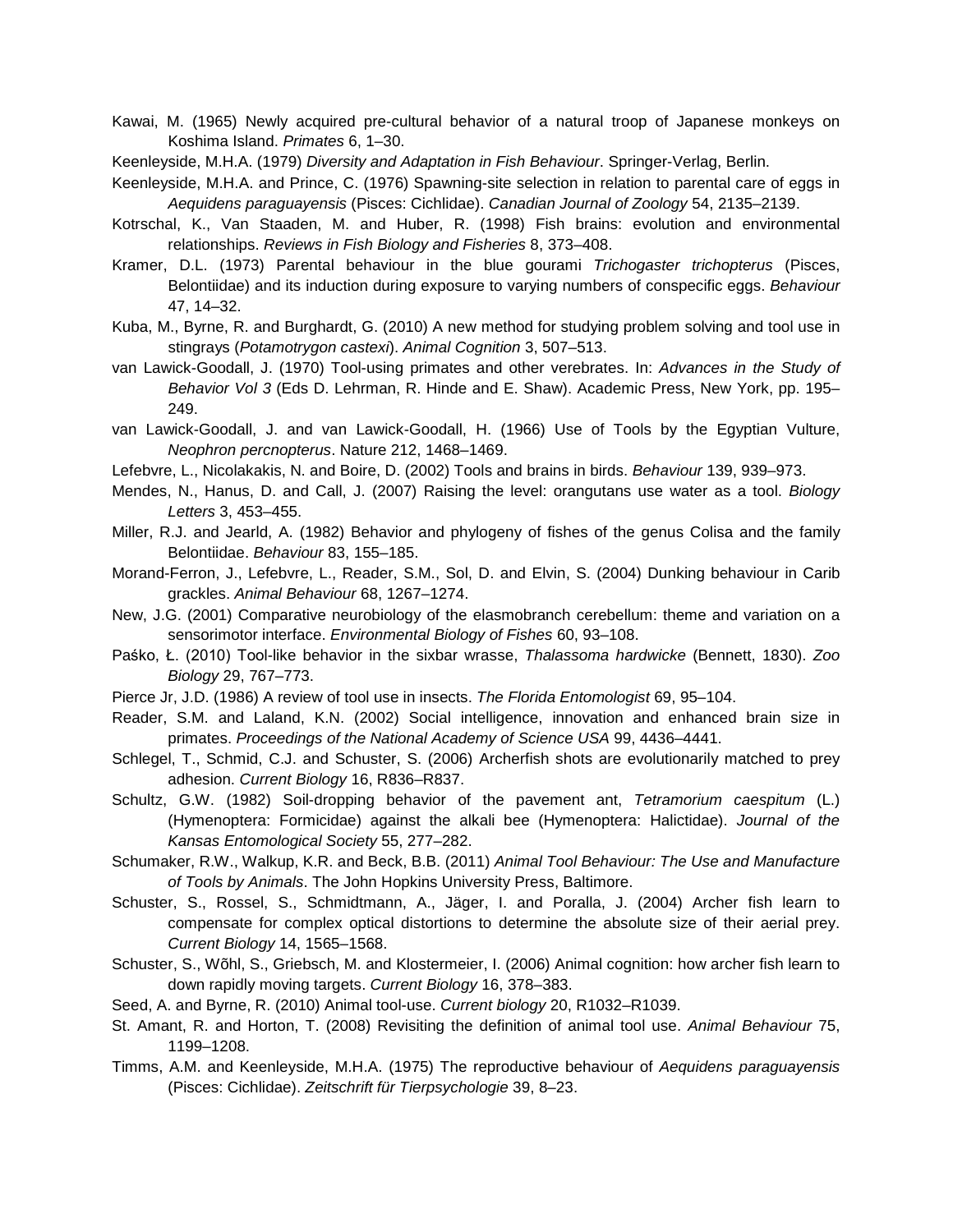Kawai, M. (1965) Newly acquired pre-cultural behavior of a natural troop of Japanese monkeys on Koshima Island. *Primates* 6, 1–30.

Keenleyside, M.H.A. (1979) *Diversity and Adaptation in Fish Behaviour*. Springer-Verlag, Berlin.

- Keenleyside, M.H.A. and Prince, C. (1976) Spawning-site selection in relation to parental care of eggs in *Aequidens paraguayensis* (Pisces: Cichlidae). *Canadian Journal of Zoology* 54, 2135–2139.
- Kotrschal, K., Van Staaden, M. and Huber, R. (1998) Fish brains: evolution and environmental relationships. *Reviews in Fish Biology and Fisheries* 8, 373–408.
- Kramer, D.L. (1973) Parental behaviour in the blue gourami *Trichogaster trichopterus* (Pisces, Belontiidae) and its induction during exposure to varying numbers of conspecific eggs. *Behaviour* 47, 14–32.
- Kuba, M., Byrne, R. and Burghardt, G. (2010) A new method for studying problem solving and tool use in stingrays (*Potamotrygon castexi*). *Animal Cognition* 3, 507–513.
- van Lawick-Goodall, J. (1970) Tool-using primates and other verebrates. In: *Advances in the Study of Behavior Vol 3* (Eds D. Lehrman, R. Hinde and E. Shaw). Academic Press, New York, pp. 195– 249.
- van Lawick-Goodall, J. and van Lawick-Goodall, H. (1966) Use of Tools by the Egyptian Vulture, *Neophron percnopterus*. Nature 212, 1468–1469.
- Lefebvre, L., Nicolakakis, N. and Boire, D. (2002) Tools and brains in birds. *Behaviour* 139, 939–973.
- Mendes, N., Hanus, D. and Call, J. (2007) Raising the level: orangutans use water as a tool. *Biology Letters* 3, 453–455.
- Miller, R.J. and Jearld, A. (1982) Behavior and phylogeny of fishes of the genus Colisa and the family Belontiidae. *Behaviour* 83, 155–185.
- Morand-Ferron, J., Lefebvre, L., Reader, S.M., Sol, D. and Elvin, S. (2004) Dunking behaviour in Carib grackles. *Animal Behaviour* 68, 1267–1274.
- New, J.G. (2001) Comparative neurobiology of the elasmobranch cerebellum: theme and variation on a sensorimotor interface. *Environmental Biology of Fishes* 60, 93–108.
- Paśko, Ł. (2010) Tool-like behavior in the sixbar wrasse, *Thalassoma hardwicke* (Bennett, 1830). *Zoo Biology* 29, 767–773.
- Pierce Jr, J.D. (1986) A review of tool use in insects. *The Florida Entomologist* 69, 95–104.
- Reader, S.M. and Laland, K.N. (2002) Social intelligence, innovation and enhanced brain size in primates. *Proceedings of the National Academy of Science USA* 99, 4436–4441.
- Schlegel, T., Schmid, C.J. and Schuster, S. (2006) Archerfish shots are evolutionarily matched to prey adhesion. *Current Biology* 16, R836–R837.
- Schultz, G.W. (1982) Soil-dropping behavior of the pavement ant, *Tetramorium caespitum* (L.) (Hymenoptera: Formicidae) against the alkali bee (Hymenoptera: Halictidae). *Journal of the Kansas Entomological Society* 55, 277–282.
- Schumaker, R.W., Walkup, K.R. and Beck, B.B. (2011) *Animal Tool Behaviour: The Use and Manufacture of Tools by Animals*. The John Hopkins University Press, Baltimore.
- Schuster, S., Rossel, S., Schmidtmann, A., Jäger, I. and Poralla, J. (2004) Archer fish learn to compensate for complex optical distortions to determine the absolute size of their aerial prey. *Current Biology* 14, 1565–1568.
- Schuster, S., Wõhl, S., Griebsch, M. and Klostermeier, I. (2006) Animal cognition: how archer fish learn to down rapidly moving targets. *Current Biology* 16, 378–383.
- Seed, A. and Byrne, R. (2010) Animal tool-use. *Current biology* 20, R1032–R1039.
- St. Amant, R. and Horton, T. (2008) Revisiting the definition of animal tool use. *Animal Behaviour* 75, 1199–1208.
- Timms, A.M. and Keenleyside, M.H.A. (1975) The reproductive behaviour of *Aequidens paraguayensis* (Pisces: Cichlidae). *Zeitschrift für Tierpsychologie* 39, 8–23.